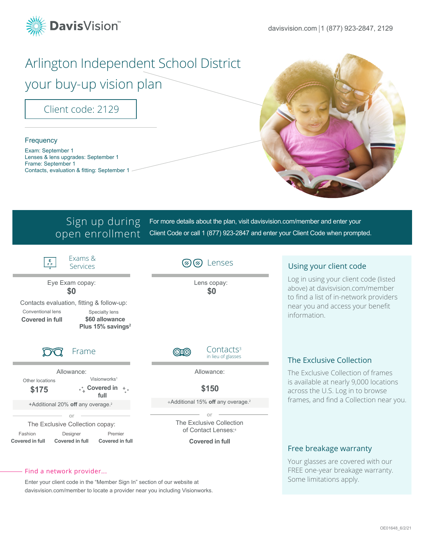

# Arlington Independent School District

your buy-up vision plan

Client code: 2129

### **Frequency**

Exam: September 1 Lenses & lens upgrades: September 1 Frame: September 1 Contacts, evaluation & fitting: September 1



### Sign up during open enrollment

For more details about the plan, visit davisvision.com/member and enter your Client Code or call 1 (877) 923-2847 and enter your Client Code when prompted.



### Find a network provider...

Enter your client code in the "Member Sign In" section of our website at davisvision.com/member to locate a provider near you including Visionworks. Your glasses are covered with our FREE one-year breakage warranty. Some limitations apply.